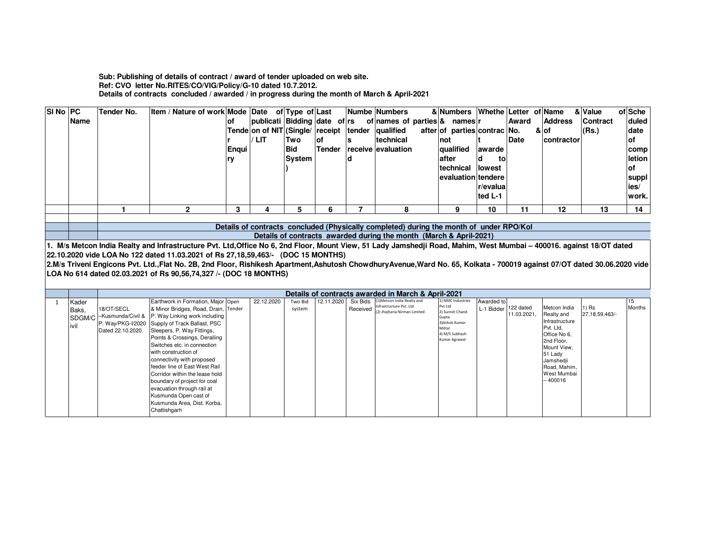Sub: Publishing of details of contract / award of tender uploaded on web site.<br>Ref: CVO letter No.RITES/CO/VIG/Policy/G-10 dated 10.7.2012.<br>Details of contracts concluded / awarded / in progress during the month of March

| SI No PC |                                                                    | Tender No.                                                                              | Item / Nature of work Mode Date of Type of Last                                                                                                                         |       |                                                   |            |               |          | Numbe Numbers                                              | & Numbers Whethe Letter of Name |            |             |                              | & Value           | of Sche   |  |
|----------|--------------------------------------------------------------------|-----------------------------------------------------------------------------------------|-------------------------------------------------------------------------------------------------------------------------------------------------------------------------|-------|---------------------------------------------------|------------|---------------|----------|------------------------------------------------------------|---------------------------------|------------|-------------|------------------------------|-------------------|-----------|--|
|          | <b>Name</b>                                                        |                                                                                         |                                                                                                                                                                         | Ωf    |                                                   |            |               |          | publicati Bidding date of rs of names of parties & names r |                                 |            | Award       | <b>Address</b>               | <b>Contract</b>   | duled     |  |
|          |                                                                    |                                                                                         |                                                                                                                                                                         |       | Tende on of NIT (Single/ receipt tender qualified |            |               |          |                                                            | after of parties contrac No.    |            |             | & of                         | (Rs.)             | date      |  |
|          |                                                                    |                                                                                         |                                                                                                                                                                         |       |                                                   |            |               |          |                                                            |                                 |            |             |                              |                   |           |  |
|          |                                                                    |                                                                                         |                                                                                                                                                                         |       | LIT                                               | Two        | <b>of</b>     |          | technical                                                  | Inot                            |            | Date        | contractor                   |                   | lof       |  |
|          |                                                                    |                                                                                         |                                                                                                                                                                         | Enqui |                                                   | <b>Bid</b> | <b>Tender</b> |          | receive evaluation                                         | qualified                       | awarde     |             |                              |                   | comp      |  |
|          |                                                                    |                                                                                         |                                                                                                                                                                         | rv    |                                                   | System     |               |          |                                                            | after                           | d<br>to    |             |                              |                   | letion    |  |
|          |                                                                    |                                                                                         |                                                                                                                                                                         |       |                                                   |            |               |          |                                                            | technical                       | lowest     |             |                              |                   | <b>of</b> |  |
|          |                                                                    |                                                                                         |                                                                                                                                                                         |       |                                                   |            |               |          |                                                            | evaluation tendere              |            |             |                              |                   | suppl     |  |
|          |                                                                    |                                                                                         |                                                                                                                                                                         |       |                                                   |            |               |          |                                                            |                                 |            |             |                              |                   |           |  |
|          |                                                                    |                                                                                         |                                                                                                                                                                         |       |                                                   |            |               |          |                                                            |                                 | r/evalua   |             |                              |                   | ies/      |  |
|          |                                                                    |                                                                                         |                                                                                                                                                                         |       |                                                   |            |               |          |                                                            |                                 | ted L-1    |             |                              |                   | work.     |  |
|          |                                                                    |                                                                                         | $\overline{2}$                                                                                                                                                          | 3     | 4                                                 | 5          | 6             | 7        | 8                                                          | 9                               | 10         | 11          | 12                           | 13                | 14        |  |
|          |                                                                    |                                                                                         |                                                                                                                                                                         |       |                                                   |            |               |          |                                                            |                                 |            |             |                              |                   |           |  |
|          |                                                                    | Details of contracts concluded (Physically completed) during the month of under RPO/Kol |                                                                                                                                                                         |       |                                                   |            |               |          |                                                            |                                 |            |             |                              |                   |           |  |
|          | Details of contracts awarded during the month (March & April-2021) |                                                                                         |                                                                                                                                                                         |       |                                                   |            |               |          |                                                            |                                 |            |             |                              |                   |           |  |
|          |                                                                    |                                                                                         | 1. M/s Metcon India Realty and Infrastructure Pvt. Ltd,Office No 6, 2nd Floor, Mount View, 51 Lady Jamshedji Road, Mahim, West Mumbai - 400016. against 18/OT dated     |       |                                                   |            |               |          |                                                            |                                 |            |             |                              |                   |           |  |
|          |                                                                    |                                                                                         | 22.10.2020 vide LOA No 122 dated 11.03.2021 of Rs 27,18,59,463/- (DOC 15 MONTHS)                                                                                        |       |                                                   |            |               |          |                                                            |                                 |            |             |                              |                   |           |  |
|          |                                                                    |                                                                                         |                                                                                                                                                                         |       |                                                   |            |               |          |                                                            |                                 |            |             |                              |                   |           |  |
|          |                                                                    |                                                                                         | 2.M/s Triveni Engicons Pvt. Ltd.,Flat No. 2B, 2nd Floor, Rishikesh Apartment,Ashutosh ChowdhuryAvenue,Ward No. 65, Kolkata - 700019 against 07/OT dated 30.06.2020 vide |       |                                                   |            |               |          |                                                            |                                 |            |             |                              |                   |           |  |
|          |                                                                    |                                                                                         | LOA No 614 dated 02.03.2021 of Rs 90.56.74.327 /- (DOC 18 MONTHS)                                                                                                       |       |                                                   |            |               |          |                                                            |                                 |            |             |                              |                   |           |  |
|          |                                                                    |                                                                                         |                                                                                                                                                                         |       |                                                   |            |               |          |                                                            |                                 |            |             |                              |                   |           |  |
|          |                                                                    |                                                                                         |                                                                                                                                                                         |       |                                                   |            |               |          | Details of contracts awarded in March & April-2021         |                                 |            |             |                              |                   |           |  |
| 1        | Kader                                                              |                                                                                         | Earthwork in Formation, Major Open                                                                                                                                      |       | 22.12.2020                                        | Two Bid    | 12.11.2020    | Six Bids | 1) Metcon India Realty and<br>nfrastructure Pvt. Ltd       | 1) NMC Industries<br>Pvt Ltd    | Awarded to |             |                              |                   | 15        |  |
|          | Baks.                                                              | 18/OT/SECL                                                                              | & Minor Bridges, Road, Drain, Tender                                                                                                                                    |       |                                                   | system     |               | Received | 2) Jhajharia Nirman Limited                                | 2) Suresh Chand                 | L-1 Bidder | 122 dated   | Metcon India                 | 1) Rs             | Months    |  |
|          |                                                                    | SDGM/C -Kusmunda/Civil &                                                                | P. Way Linking work including                                                                                                                                           |       |                                                   |            |               |          |                                                            | Gupta                           |            | 11.03.2021. | Realty and<br>Infrastructure | 27, 18, 59, 463/- |           |  |
|          | ivil                                                               | P. Way/PKG-I/2020                                                                       | Supply of Track Ballast, PSC                                                                                                                                            |       |                                                   |            |               |          |                                                            | 3) Ashok Kumar<br>Mittal        |            |             | Pvt. Ltd.                    |                   |           |  |
|          |                                                                    | Dated 22.10.2020.                                                                       | Sleepers, P. Way Fittings,                                                                                                                                              |       |                                                   |            |               |          |                                                            | 4) M/S Subhash                  |            |             | Office No 6.                 |                   |           |  |
|          |                                                                    |                                                                                         | Points & Crossings, Derailing                                                                                                                                           |       |                                                   |            |               |          |                                                            | Kumar Agrawal                   |            |             | 2nd Floor.                   |                   |           |  |
|          |                                                                    |                                                                                         | Switches etc. in connection                                                                                                                                             |       |                                                   |            |               |          |                                                            |                                 |            |             | Mount View.                  |                   |           |  |
|          |                                                                    |                                                                                         | with construction of                                                                                                                                                    |       |                                                   |            |               |          |                                                            |                                 |            |             | 51 Lady                      |                   |           |  |
|          |                                                                    |                                                                                         | connectivity with proposed                                                                                                                                              |       |                                                   |            |               |          |                                                            |                                 |            |             | Jamshedji                    |                   |           |  |
|          |                                                                    |                                                                                         | feeder line of East West Rail                                                                                                                                           |       |                                                   |            |               |          |                                                            |                                 |            |             | Road, Mahim,                 |                   |           |  |
|          |                                                                    |                                                                                         | Corridor within the lease hold                                                                                                                                          |       |                                                   |            |               |          |                                                            |                                 |            |             | West Mumbai                  |                   |           |  |
|          |                                                                    |                                                                                         | boundary of project for coal                                                                                                                                            |       |                                                   |            |               |          |                                                            |                                 |            |             | $-400016$                    |                   |           |  |
|          |                                                                    |                                                                                         | evacuation through rail at                                                                                                                                              |       |                                                   |            |               |          |                                                            |                                 |            |             |                              |                   |           |  |
|          |                                                                    |                                                                                         | Kusmunda Open cast of                                                                                                                                                   |       |                                                   |            |               |          |                                                            |                                 |            |             |                              |                   |           |  |
|          |                                                                    |                                                                                         |                                                                                                                                                                         |       |                                                   |            |               |          |                                                            |                                 |            |             |                              |                   |           |  |
|          |                                                                    |                                                                                         | Kusmunda Area, Dist. Korba,                                                                                                                                             |       |                                                   |            |               |          |                                                            |                                 |            |             |                              |                   |           |  |